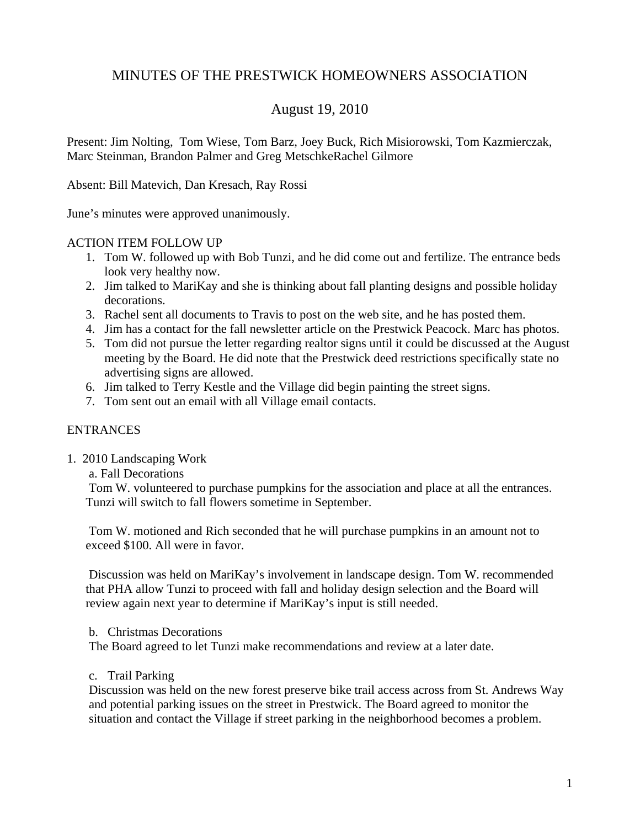# MINUTES OF THE PRESTWICK HOMEOWNERS ASSOCIATION

## August 19, 2010

Present: Jim Nolting, Tom Wiese, Tom Barz, Joey Buck, Rich Misiorowski, Tom Kazmierczak, Marc Steinman, Brandon Palmer and Greg MetschkeRachel Gilmore

Absent: Bill Matevich, Dan Kresach, Ray Rossi

June's minutes were approved unanimously.

#### ACTION ITEM FOLLOW UP

- 1. Tom W. followed up with Bob Tunzi, and he did come out and fertilize. The entrance beds look very healthy now.
- 2. Jim talked to MariKay and she is thinking about fall planting designs and possible holiday decorations.
- 3. Rachel sent all documents to Travis to post on the web site, and he has posted them.
- 4. Jim has a contact for the fall newsletter article on the Prestwick Peacock. Marc has photos.
- 5. Tom did not pursue the letter regarding realtor signs until it could be discussed at the August meeting by the Board. He did note that the Prestwick deed restrictions specifically state no advertising signs are allowed.
- 6. Jim talked to Terry Kestle and the Village did begin painting the street signs.
- 7. Tom sent out an email with all Village email contacts.

#### ENTRANCES

1. 2010 Landscaping Work

a. Fall Decorations

Tom W. volunteered to purchase pumpkins for the association and place at all the entrances. Tunzi will switch to fall flowers sometime in September.

Tom W. motioned and Rich seconded that he will purchase pumpkins in an amount not to exceed \$100. All were in favor.

Discussion was held on MariKay's involvement in landscape design. Tom W. recommended that PHA allow Tunzi to proceed with fall and holiday design selection and the Board will review again next year to determine if MariKay's input is still needed.

b. Christmas Decorations

The Board agreed to let Tunzi make recommendations and review at a later date.

#### c. Trail Parking

Discussion was held on the new forest preserve bike trail access across from St. Andrews Way and potential parking issues on the street in Prestwick. The Board agreed to monitor the situation and contact the Village if street parking in the neighborhood becomes a problem.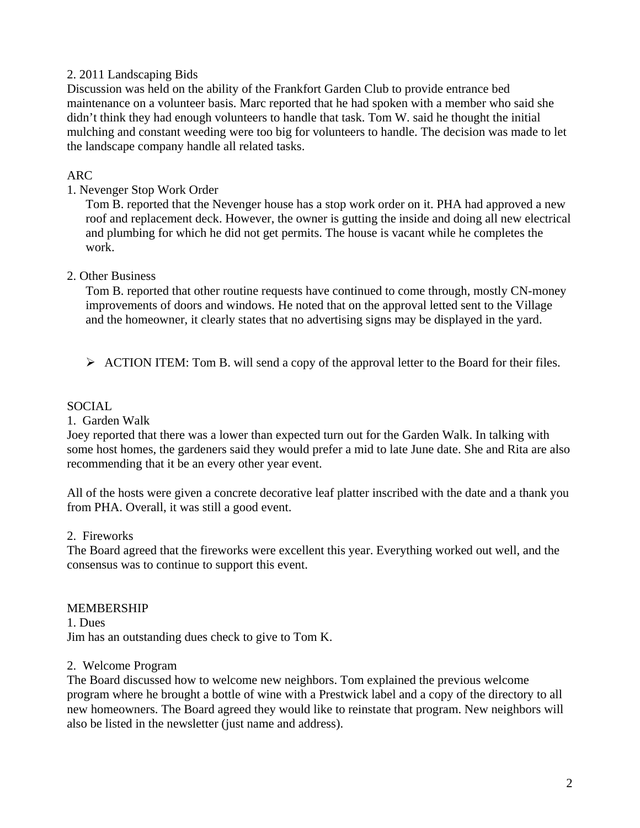### 2. 2011 Landscaping Bids

Discussion was held on the ability of the Frankfort Garden Club to provide entrance bed maintenance on a volunteer basis. Marc reported that he had spoken with a member who said she didn't think they had enough volunteers to handle that task. Tom W. said he thought the initial mulching and constant weeding were too big for volunteers to handle. The decision was made to let the landscape company handle all related tasks.

### ARC

## 1. Nevenger Stop Work Order

Tom B. reported that the Nevenger house has a stop work order on it. PHA had approved a new roof and replacement deck. However, the owner is gutting the inside and doing all new electrical and plumbing for which he did not get permits. The house is vacant while he completes the work.

### 2. Other Business

Tom B. reported that other routine requests have continued to come through, mostly CN-money improvements of doors and windows. He noted that on the approval letted sent to the Village and the homeowner, it clearly states that no advertising signs may be displayed in the yard.

¾ ACTION ITEM: Tom B. will send a copy of the approval letter to the Board for their files.

## SOCIAL

### 1. Garden Walk

Joey reported that there was a lower than expected turn out for the Garden Walk. In talking with some host homes, the gardeners said they would prefer a mid to late June date. She and Rita are also recommending that it be an every other year event.

All of the hosts were given a concrete decorative leaf platter inscribed with the date and a thank you from PHA. Overall, it was still a good event.

### 2. Fireworks

The Board agreed that the fireworks were excellent this year. Everything worked out well, and the consensus was to continue to support this event.

MEMBERSHIP 1. Dues Jim has an outstanding dues check to give to Tom K.

### 2. Welcome Program

The Board discussed how to welcome new neighbors. Tom explained the previous welcome program where he brought a bottle of wine with a Prestwick label and a copy of the directory to all new homeowners. The Board agreed they would like to reinstate that program. New neighbors will also be listed in the newsletter (just name and address).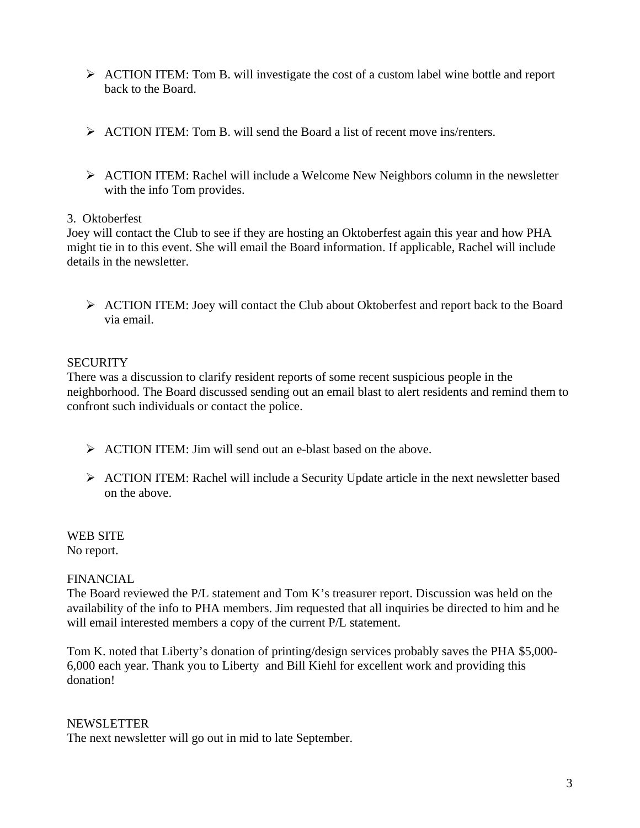- ¾ ACTION ITEM: Tom B. will investigate the cost of a custom label wine bottle and report back to the Board.
- $\triangleright$  ACTION ITEM: Tom B. will send the Board a list of recent move ins/renters.
- $\triangleright$  ACTION ITEM: Rachel will include a Welcome New Neighbors column in the newsletter with the info Tom provides.

### 3. Oktoberfest

Joey will contact the Club to see if they are hosting an Oktoberfest again this year and how PHA might tie in to this event. She will email the Board information. If applicable, Rachel will include details in the newsletter.

¾ ACTION ITEM: Joey will contact the Club about Oktoberfest and report back to the Board via email.

## **SECURITY**

There was a discussion to clarify resident reports of some recent suspicious people in the neighborhood. The Board discussed sending out an email blast to alert residents and remind them to confront such individuals or contact the police.

- $\triangleright$  ACTION ITEM: Jim will send out an e-blast based on the above.
- $\triangleright$  ACTION ITEM: Rachel will include a Security Update article in the next newsletter based on the above.

WEB SITE No report.

### FINANCIAL

The Board reviewed the P/L statement and Tom K's treasurer report. Discussion was held on the availability of the info to PHA members. Jim requested that all inquiries be directed to him and he will email interested members a copy of the current P/L statement.

Tom K. noted that Liberty's donation of printing/design services probably saves the PHA \$5,000- 6,000 each year. Thank you to Liberty and Bill Kiehl for excellent work and providing this donation!

### NEWSLETTER

The next newsletter will go out in mid to late September.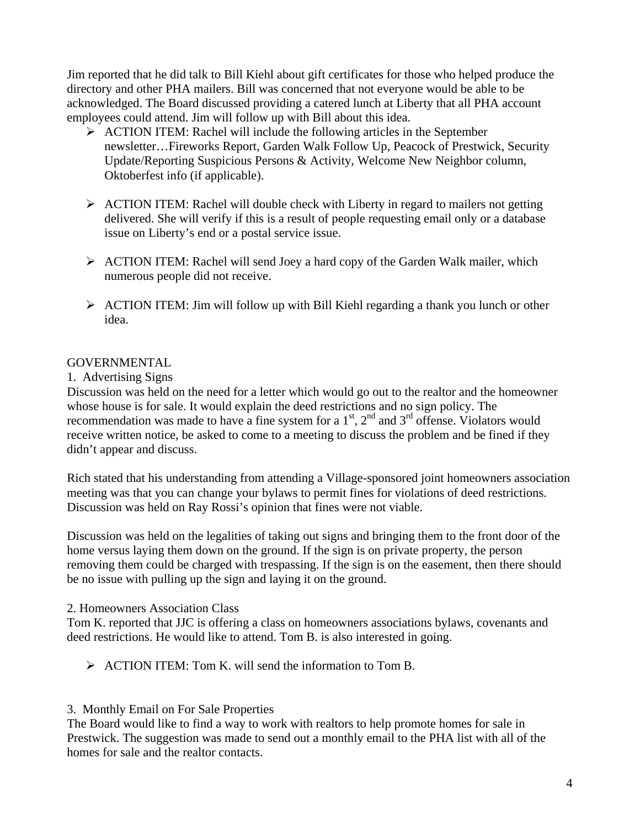Jim reported that he did talk to Bill Kiehl about gift certificates for those who helped produce the directory and other PHA mailers. Bill was concerned that not everyone would be able to be acknowledged. The Board discussed providing a catered lunch at Liberty that all PHA account employees could attend. Jim will follow up with Bill about this idea.

- $\triangleright$  ACTION ITEM: Rachel will include the following articles in the September newsletter…Fireworks Report, Garden Walk Follow Up, Peacock of Prestwick, Security Update/Reporting Suspicious Persons & Activity, Welcome New Neighbor column, Oktoberfest info (if applicable).
- $\triangleright$  ACTION ITEM: Rachel will double check with Liberty in regard to mailers not getting delivered. She will verify if this is a result of people requesting email only or a database issue on Liberty's end or a postal service issue.
- ¾ ACTION ITEM: Rachel will send Joey a hard copy of the Garden Walk mailer, which numerous people did not receive.
- ¾ ACTION ITEM: Jim will follow up with Bill Kiehl regarding a thank you lunch or other idea.

## **GOVERNMENTAL**

#### 1. Advertising Signs

Discussion was held on the need for a letter which would go out to the realtor and the homeowner whose house is for sale. It would explain the deed restrictions and no sign policy. The recommendation was made to have a fine system for a  $1<sup>st</sup>$ ,  $2<sup>nd</sup>$  and  $3<sup>rd</sup>$  offense. Violators would receive written notice, be asked to come to a meeting to discuss the problem and be fined if they didn't appear and discuss.

Rich stated that his understanding from attending a Village-sponsored joint homeowners association meeting was that you can change your bylaws to permit fines for violations of deed restrictions. Discussion was held on Ray Rossi's opinion that fines were not viable.

Discussion was held on the legalities of taking out signs and bringing them to the front door of the home versus laying them down on the ground. If the sign is on private property, the person removing them could be charged with trespassing. If the sign is on the easement, then there should be no issue with pulling up the sign and laying it on the ground.

#### 2. Homeowners Association Class

Tom K. reported that JJC is offering a class on homeowners associations bylaws, covenants and deed restrictions. He would like to attend. Tom B. is also interested in going.

 $\triangleright$  ACTION ITEM: Tom K, will send the information to Tom B.

### 3. Monthly Email on For Sale Properties

The Board would like to find a way to work with realtors to help promote homes for sale in Prestwick. The suggestion was made to send out a monthly email to the PHA list with all of the homes for sale and the realtor contacts.